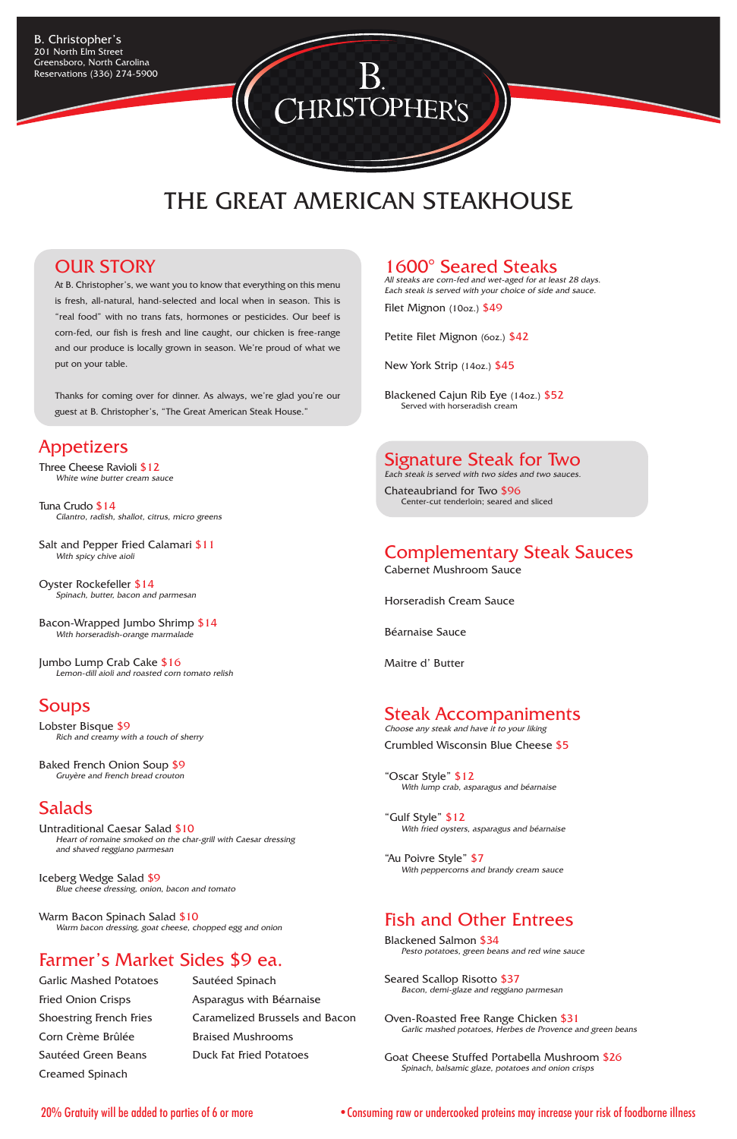#### 1600° Seared Steaks

All steaks are corn-fed and wet-aged for at least 28 days. Each steak is served with your choice of side and sauce.

Filet Mignon (10oz.) \$49

Petite Filet Mignon (6oz.) \$42

New York Strip (14oz.) \$45

Blackened Cajun Rib Eye (14oz.) \$52 Served with horseradish cream

#### Signature Steak for Two

Choose any steak and have it to your liking Crumbled Wisconsin Blue Cheese \$5

Each steak is served with two sides and two sauces.

Chateaubriand for Two \$96 Center-cut tenderloin; seared and sliced

## Complementary Steak Sauces

Cabernet Mushroom Sauce

Horseradish Cream Sauce

Béarnaise Sauce

Maitre d' Butter

# Steak Accompaniments

"Oscar Style" \$12 With lump crab, asparagus and béarnaise

"Gulf Style" \$12 With fried oysters, asparagus and béarnaise

"Au Poivre Style" \$7 With peppercorns and brandy cream sauce

#### Fish and Other Entrees

Blackened Salmon \$34 Pesto potatoes, green beans and red wine sauce

Seared Scallop Risotto \$37 Bacon, demi-glaze and reggiano parmesan

Salt and Pepper Fried Calamari \$11 With spicy chive aioli

> Oven-Roasted Free Range Chicken \$31 Garlic mashed potatoes, Herbes de Provence and green beans

Goat Cheese Stuffed Portabella Mushroom \$26 Spinach, balsamic glaze, potatoes and onion crisps

B. Christopher's 201 North Elm Street Greensboro, North Carolina Reservations (336) 274-5900

#### OUR STORY

Fried Onion Crisps **Asparagus with Béarnaise** Shoestring French Fries Caramelized Brussels and Bacon

Garlic Mashed Potatoes Sautéed Spinach Corn Crème Brûlée Braised Mushrooms Sautéed Green Beans Duck Fat Fried Potatoes Creamed Spinach

At B. Christopher's, we want you to know that everything on this menu is fresh, all-natural, hand-selected and local when in season. This is "real food" with no trans fats, hormones or pesticides. Our beef is corn-fed, our fish is fresh and line caught, our chicken is free-range and our produce is locally grown in season. We're proud of what we put on your table.

Thanks for coming over for dinner. As always, we're glad you're our guest at B. Christopher's, "The Great American Steak House."

#### Appetizers

Three Cheese Ravioli \$12 White wine butter cream sauce

Tuna Crudo \$14 Cilantro, radish, shallot, citrus, micro greens

Oyster Rockefeller \$14 Spinach, butter, bacon and parmesan

Bacon-Wrapped Jumbo Shrimp \$14 With horseradish-orange marmalade

Jumbo Lump Crab Cake \$16 Lemon-dill aioli and roasted corn tomato relish

## **Soups**

Lobster Bisque \$9 Rich and creamy with a touch of sherry

Baked French Onion Soup \$9 Gruyère and French bread crouton

# **Salads**

Untraditional Caesar Salad \$10

Heart of romaine smoked on the char-grill with Caesar dressing and shaved reggiano parmesan

Iceberg Wedge Salad \$9 Blue cheese dressing, onion, bacon and tomato

Warm Bacon Spinach Salad \$10 Warm bacon dressing, goat cheese, chopped egg and onion

# Farmer's Market Sides \$9 ea.

# THE GREAT AMERICAN STEAKHOUSE

**IRISTOPHER'S** 

20% Gratuity will be added to parties of 6 or more •Consuming raw or undercooked proteins may increase your risk of foodborne illness